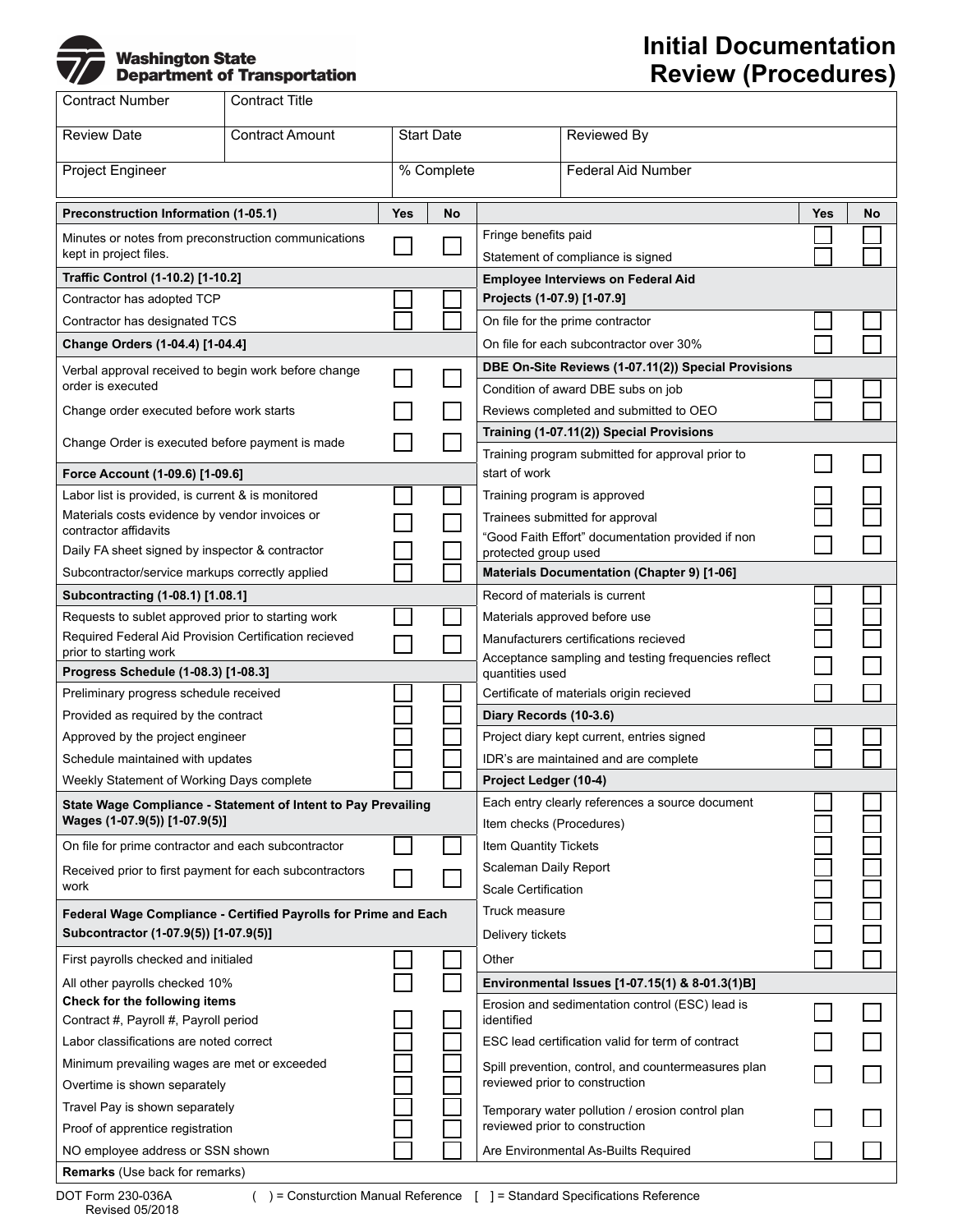

## **Initial Documentation Review (Procedures)**

| <b>Contract Number</b>                                                         | Contract Title                              |            |                                                 |                                                                                                                                                            |                                                                                    |     |    |
|--------------------------------------------------------------------------------|---------------------------------------------|------------|-------------------------------------------------|------------------------------------------------------------------------------------------------------------------------------------------------------------|------------------------------------------------------------------------------------|-----|----|
| <b>Review Date</b>                                                             | <b>Contract Amount</b><br><b>Start Date</b> |            |                                                 | Reviewed By                                                                                                                                                |                                                                                    |     |    |
| Project Engineer                                                               |                                             |            | % Complete                                      |                                                                                                                                                            | <b>Federal Aid Number</b>                                                          |     |    |
| Preconstruction Information (1-05.1)                                           |                                             | <b>Yes</b> | No                                              |                                                                                                                                                            |                                                                                    | Yes | No |
| Minutes or notes from preconstruction communications<br>kept in project files. |                                             |            |                                                 | Fringe benefits paid<br>Statement of compliance is signed                                                                                                  |                                                                                    |     |    |
| Traffic Control (1-10.2) [1-10.2]                                              |                                             |            |                                                 | <b>Employee Interviews on Federal Aid</b>                                                                                                                  |                                                                                    |     |    |
| Contractor has adopted TCP                                                     |                                             |            |                                                 | Projects (1-07.9) [1-07.9]                                                                                                                                 |                                                                                    |     |    |
| Contractor has designated TCS                                                  |                                             |            |                                                 |                                                                                                                                                            | On file for the prime contractor                                                   |     |    |
| Change Orders (1-04.4) [1-04.4]                                                |                                             |            |                                                 | On file for each subcontractor over 30%                                                                                                                    |                                                                                    |     |    |
| Verbal approval received to begin work before change<br>order is executed      |                                             |            |                                                 | DBE On-Site Reviews (1-07.11(2)) Special Provisions                                                                                                        |                                                                                    |     |    |
|                                                                                |                                             |            |                                                 |                                                                                                                                                            | Condition of award DBE subs on job                                                 |     |    |
| Change order executed before work starts                                       |                                             |            |                                                 | Reviews completed and submitted to OEO                                                                                                                     |                                                                                    |     |    |
| Change Order is executed before payment is made                                |                                             |            |                                                 | Training (1-07.11(2)) Special Provisions                                                                                                                   |                                                                                    |     |    |
|                                                                                |                                             |            |                                                 | Training program submitted for approval prior to                                                                                                           |                                                                                    |     |    |
| Force Account (1-09.6) [1-09.6]                                                |                                             |            |                                                 | start of work                                                                                                                                              |                                                                                    |     |    |
| Labor list is provided, is current & is monitored                              |                                             |            |                                                 | Training program is approved                                                                                                                               |                                                                                    |     |    |
| Materials costs evidence by vendor invoices or<br>contractor affidavits        |                                             |            |                                                 | Trainees submitted for approval<br>"Good Faith Effort" documentation provided if non<br>protected group used<br>Materials Documentation (Chapter 9) [1-06] |                                                                                    |     |    |
| Daily FA sheet signed by inspector & contractor                                |                                             |            |                                                 |                                                                                                                                                            |                                                                                    |     |    |
| Subcontractor/service markups correctly applied                                |                                             |            |                                                 |                                                                                                                                                            |                                                                                    |     |    |
| Subcontracting (1-08.1) [1.08.1]                                               |                                             |            |                                                 | Record of materials is current                                                                                                                             |                                                                                    |     |    |
| Requests to sublet approved prior to starting work                             |                                             |            |                                                 | Materials approved before use<br>Manufacturers certifications recieved                                                                                     |                                                                                    |     |    |
| Required Federal Aid Provision Certification recieved                          |                                             |            |                                                 |                                                                                                                                                            |                                                                                    |     |    |
| prior to starting work                                                         |                                             |            |                                                 |                                                                                                                                                            | Acceptance sampling and testing frequencies reflect                                |     |    |
| Progress Schedule (1-08.3) [1-08.3]                                            |                                             |            | quantities used                                 |                                                                                                                                                            |                                                                                    |     |    |
| Preliminary progress schedule received                                         |                                             |            |                                                 | Certificate of materials origin recieved                                                                                                                   |                                                                                    |     |    |
| Provided as required by the contract                                           |                                             |            |                                                 | Diary Records (10-3.6)                                                                                                                                     |                                                                                    |     |    |
| Approved by the project engineer                                               |                                             |            |                                                 |                                                                                                                                                            | Project diary kept current, entries signed                                         |     |    |
| Schedule maintained with updates                                               |                                             |            |                                                 |                                                                                                                                                            | IDR's are maintained and are complete                                              |     |    |
| Weekly Statement of Working Days complete                                      |                                             |            |                                                 | Project Ledger (10-4)                                                                                                                                      |                                                                                    |     |    |
| State Wage Compliance - Statement of Intent to Pay Prevailing                  |                                             |            |                                                 | Each entry clearly references a source document                                                                                                            |                                                                                    |     |    |
| Wages (1-07.9(5)) [1-07.9(5)]                                                  |                                             |            |                                                 | Item checks (Procedures)                                                                                                                                   |                                                                                    |     |    |
| On file for prime contractor and each subcontractor                            |                                             |            |                                                 | Item Quantity Tickets                                                                                                                                      |                                                                                    |     |    |
| Received prior to first payment for each subcontractors                        |                                             |            |                                                 | Scaleman Daily Report                                                                                                                                      |                                                                                    |     |    |
| work                                                                           |                                             |            |                                                 | <b>Scale Certification</b>                                                                                                                                 |                                                                                    |     |    |
| Federal Wage Compliance - Certified Payrolls for Prime and Each                |                                             |            |                                                 | Truck measure                                                                                                                                              |                                                                                    |     |    |
| Subcontractor (1-07.9(5)) [1-07.9(5)]                                          |                                             |            | Delivery tickets                                |                                                                                                                                                            |                                                                                    |     |    |
| First payrolls checked and initialed                                           |                                             |            |                                                 | Other                                                                                                                                                      |                                                                                    |     |    |
| All other payrolls checked 10%                                                 |                                             |            |                                                 | Environmental Issues [1-07.15(1) & 8-01.3(1)B]                                                                                                             |                                                                                    |     |    |
| Check for the following items                                                  |                                             |            | Erosion and sedimentation control (ESC) lead is |                                                                                                                                                            |                                                                                    |     |    |
| Contract #, Payroll #, Payroll period                                          |                                             |            |                                                 | identified<br>ESC lead certification valid for term of contract<br>Spill prevention, control, and countermeasures plan<br>reviewed prior to construction   |                                                                                    |     |    |
| Labor classifications are noted correct                                        |                                             |            |                                                 |                                                                                                                                                            |                                                                                    |     |    |
| Minimum prevailing wages are met or exceeded<br>Overtime is shown separately   |                                             |            |                                                 |                                                                                                                                                            |                                                                                    |     |    |
|                                                                                |                                             |            |                                                 |                                                                                                                                                            |                                                                                    |     |    |
| Travel Pay is shown separately                                                 |                                             |            |                                                 |                                                                                                                                                            | Temporary water pollution / erosion control plan<br>reviewed prior to construction |     |    |
| Proof of apprentice registration<br>NO employee address or SSN shown           |                                             |            |                                                 |                                                                                                                                                            |                                                                                    |     |    |
| Remarks (Use back for remarks)                                                 |                                             |            |                                                 |                                                                                                                                                            | Are Environmental As-Builts Required                                               |     |    |
|                                                                                |                                             |            |                                                 |                                                                                                                                                            |                                                                                    |     |    |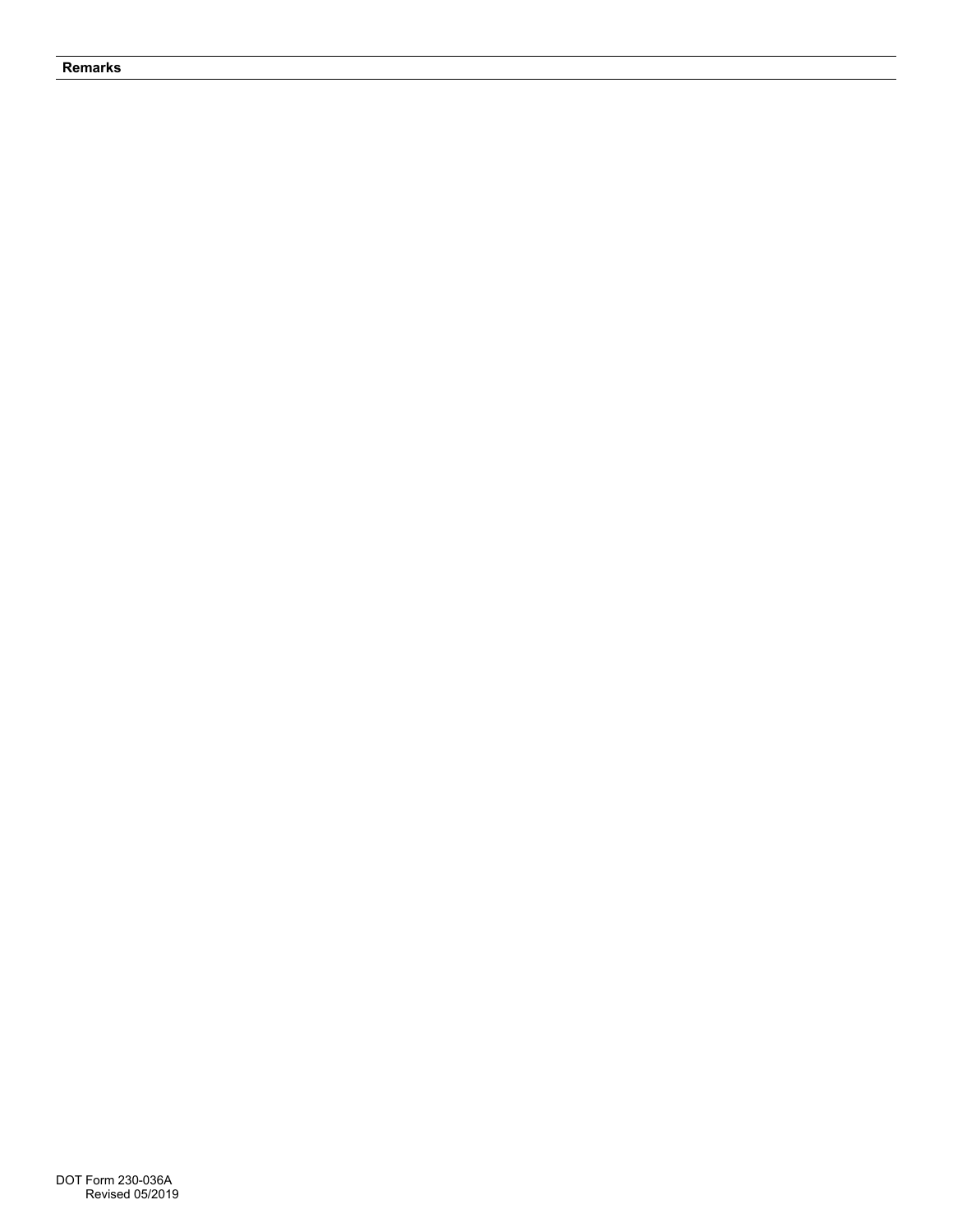## **Remarks**